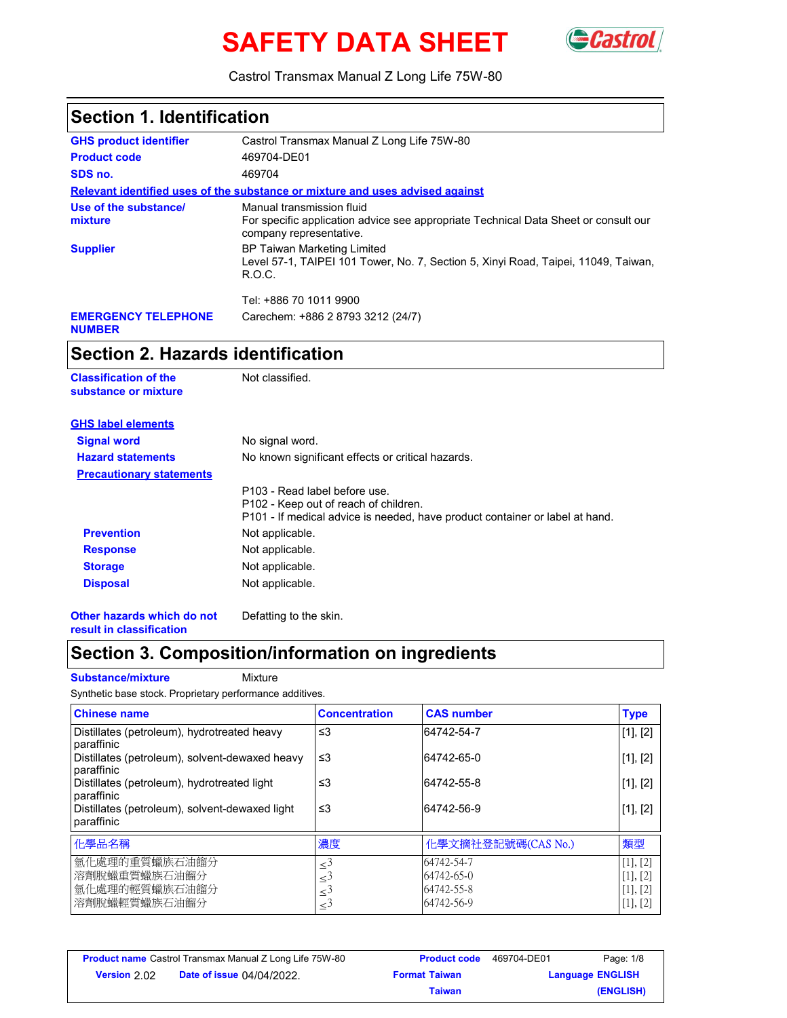# **SAFETY DATA SHEET**



Castrol Transmax Manual Z Long Life 75W-80

| <b>Section 1. Identification</b>            |                                                                                                                                             |  |
|---------------------------------------------|---------------------------------------------------------------------------------------------------------------------------------------------|--|
| <b>GHS product identifier</b>               | Castrol Transmax Manual Z Long Life 75W-80                                                                                                  |  |
| <b>Product code</b>                         | 469704-DE01                                                                                                                                 |  |
| SDS no.                                     | 469704                                                                                                                                      |  |
|                                             | Relevant identified uses of the substance or mixture and uses advised against                                                               |  |
| Use of the substance/<br>mixture            | Manual transmission fluid<br>For specific application advice see appropriate Technical Data Sheet or consult our<br>company representative. |  |
| <b>Supplier</b>                             | <b>BP Taiwan Marketing Limited</b><br>Level 57-1, TAIPEI 101 Tower, No. 7, Section 5, Xinyi Road, Taipei, 11049, Taiwan,<br>R.O.C.          |  |
|                                             | Tel: +886 70 1011 9900                                                                                                                      |  |
| <b>EMERGENCY TELEPHONE</b><br><b>NUMBER</b> | Carechem: +886 2 8793 3212 (24/7)                                                                                                           |  |

### **Section 2. Hazards identification**

| Not classified.                                                                                                                                        |
|--------------------------------------------------------------------------------------------------------------------------------------------------------|
|                                                                                                                                                        |
| No signal word.                                                                                                                                        |
| No known significant effects or critical hazards.                                                                                                      |
|                                                                                                                                                        |
| P103 - Read label before use.<br>P102 - Keep out of reach of children.<br>P101 - If medical advice is needed, have product container or label at hand. |
| Not applicable.                                                                                                                                        |
| Not applicable.                                                                                                                                        |
| Not applicable.                                                                                                                                        |
| Not applicable.                                                                                                                                        |
|                                                                                                                                                        |

**Other hazards which do not result in classification**

# **Section 3. Composition/information on ingredients**

Defatting to the skin.

#### **Substance/mixture** Mixture

Synthetic base stock. Proprietary performance additives.

| <b>Chinese name</b>                                            | <b>Concentration</b>                                                            | <b>CAS number</b>                                    | <b>Type</b>                                       |
|----------------------------------------------------------------|---------------------------------------------------------------------------------|------------------------------------------------------|---------------------------------------------------|
| Distillates (petroleum), hydrotreated heavy<br>paraffinic      | $\leq$ 3                                                                        | 64742-54-7                                           | [1], [2]                                          |
| Distillates (petroleum), solvent-dewaxed heavy<br>paraffinic   | ≤3                                                                              | 64742-65-0                                           | [1], [2]                                          |
| Distillates (petroleum), hydrotreated light<br>paraffinic      | ≤3                                                                              | 64742-55-8                                           | [1], [2]                                          |
| Distillates (petroleum), solvent-dewaxed light<br>paraffinic   | ≤3                                                                              | 64742-56-9                                           | [1], [2]                                          |
| 化學品名稱                                                          | 濃度                                                                              | 化學文摘社登記號碼(CAS No.)                                   | 類型                                                |
| 氫化處理的重質蠟族石油餾分<br>溶劑脫蠟重質蠟族石油餾分<br>氫化處理的輕質蠟族石油餾分<br>溶劑脫蠟輕質蠟族石油餾分 | $\leq$ <sup>3</sup><br>$\leq^3$<br>$\leq^{\mathfrak{I}}$<br>$\leq$ <sup>3</sup> | 64742-54-7<br>64742-65-0<br>64742-55-8<br>64742-56-9 | [1], [2]<br>$[1]$ , $[2]$<br>[1], [2]<br>[1], [2] |

|                     | <b>Product name</b> Castrol Transmax Manual Z Long Life 75W-80 | <b>Product code</b>  | 469704-DE01 | Page: 1/8               |
|---------------------|----------------------------------------------------------------|----------------------|-------------|-------------------------|
| <b>Version</b> 2.02 | <b>Date of issue 04/04/2022.</b>                               | <b>Format Taiwan</b> |             | <b>Language ENGLISH</b> |
|                     |                                                                | <b>Taiwan</b>        |             | (ENGLISH)               |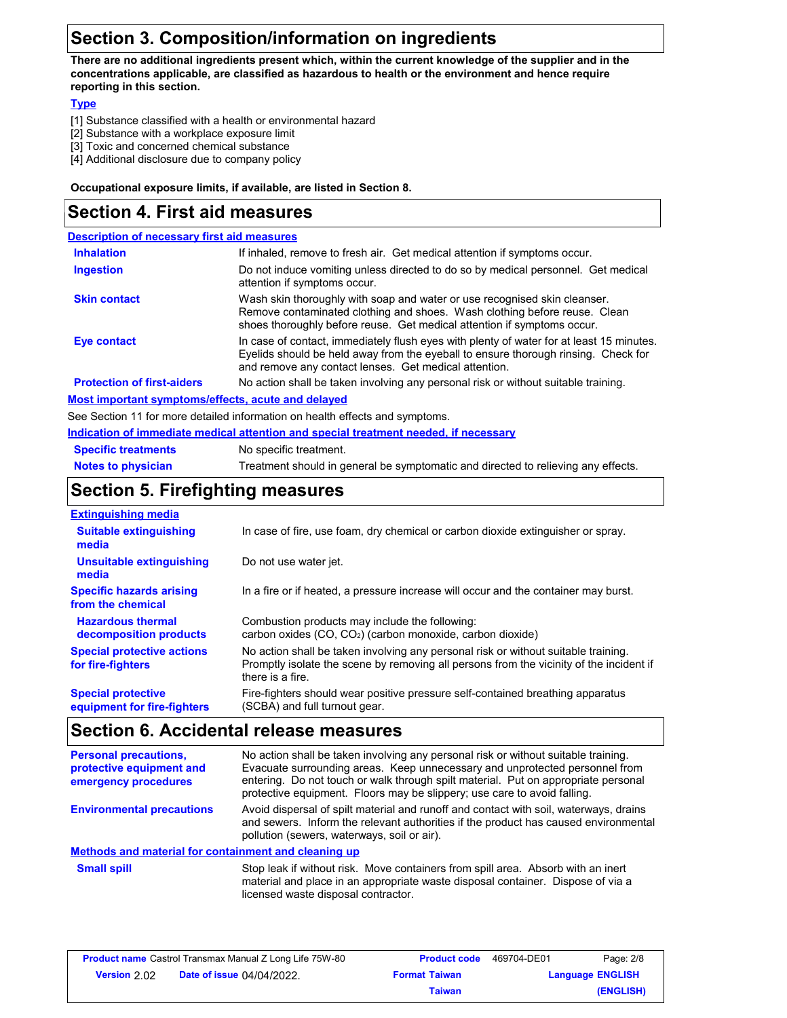# **Section 3. Composition/information on ingredients**

**There are no additional ingredients present which, within the current knowledge of the supplier and in the concentrations applicable, are classified as hazardous to health or the environment and hence require reporting in this section.**

#### **Type**

- [1] Substance classified with a health or environmental hazard
- [2] Substance with a workplace exposure limit
- [3] Toxic and concerned chemical substance
- [4] Additional disclosure due to company policy

#### **Occupational exposure limits, if available, are listed in Section 8.**

### **Section 4. First aid measures**

| <b>Description of necessary first aid measures</b> |                                                                                                                                                                                                                                         |
|----------------------------------------------------|-----------------------------------------------------------------------------------------------------------------------------------------------------------------------------------------------------------------------------------------|
| <b>Inhalation</b>                                  | If inhaled, remove to fresh air. Get medical attention if symptoms occur.                                                                                                                                                               |
| <b>Ingestion</b>                                   | Do not induce vomiting unless directed to do so by medical personnel. Get medical<br>attention if symptoms occur.                                                                                                                       |
| <b>Skin contact</b>                                | Wash skin thoroughly with soap and water or use recognised skin cleanser.<br>Remove contaminated clothing and shoes. Wash clothing before reuse. Clean<br>shoes thoroughly before reuse. Get medical attention if symptoms occur.       |
| Eye contact                                        | In case of contact, immediately flush eyes with plenty of water for at least 15 minutes.<br>Eyelids should be held away from the eyeball to ensure thorough rinsing. Check for<br>and remove any contact lenses. Get medical attention. |
| <b>Protection of first-aiders</b>                  | No action shall be taken involving any personal risk or without suitable training.                                                                                                                                                      |
| Most important symptoms/effects, acute and delayed |                                                                                                                                                                                                                                         |
|                                                    |                                                                                                                                                                                                                                         |

See Section 11 for more detailed information on health effects and symptoms.

#### **Indication of immediate medical attention and special treatment needed, if necessary**

| <b>Specific treatments</b> | No specific treatment.                                                            |
|----------------------------|-----------------------------------------------------------------------------------|
| <b>Notes to physician</b>  | Treatment should in general be symptomatic and directed to relieving any effects. |

### **Section 5. Firefighting measures**

| <b>Extinguishing media</b>                               |                                                                                                                                                                                                   |
|----------------------------------------------------------|---------------------------------------------------------------------------------------------------------------------------------------------------------------------------------------------------|
| <b>Suitable extinguishing</b><br>media                   | In case of fire, use foam, dry chemical or carbon dioxide extinguisher or spray.                                                                                                                  |
| Unsuitable extinguishing<br>media                        | Do not use water jet.                                                                                                                                                                             |
| <b>Specific hazards arising</b><br>from the chemical     | In a fire or if heated, a pressure increase will occur and the container may burst.                                                                                                               |
| <b>Hazardous thermal</b><br>decomposition products       | Combustion products may include the following:<br>carbon oxides (CO, CO <sub>2</sub> ) (carbon monoxide, carbon dioxide)                                                                          |
| <b>Special protective actions</b><br>for fire-fighters   | No action shall be taken involving any personal risk or without suitable training.<br>Promptly isolate the scene by removing all persons from the vicinity of the incident if<br>there is a fire. |
| <b>Special protective</b><br>equipment for fire-fighters | Fire-fighters should wear positive pressure self-contained breathing apparatus<br>(SCBA) and full turnout gear.                                                                                   |

### **Section 6. Accidental release measures**

| <b>Personal precautions,</b><br>protective equipment and<br>emergency procedures | No action shall be taken involving any personal risk or without suitable training.<br>Evacuate surrounding areas. Keep unnecessary and unprotected personnel from<br>entering. Do not touch or walk through spilt material. Put on appropriate personal<br>protective equipment. Floors may be slippery; use care to avoid falling. |  |
|----------------------------------------------------------------------------------|-------------------------------------------------------------------------------------------------------------------------------------------------------------------------------------------------------------------------------------------------------------------------------------------------------------------------------------|--|
| <b>Environmental precautions</b>                                                 | Avoid dispersal of spilt material and runoff and contact with soil, waterways, drains<br>and sewers. Inform the relevant authorities if the product has caused environmental<br>pollution (sewers, waterways, soil or air).                                                                                                         |  |
| Methods and material for containment and cleaning up                             |                                                                                                                                                                                                                                                                                                                                     |  |
| <b>Small spill</b>                                                               | Stop leak if without risk. Move containers from spill area. Absorb with an inert                                                                                                                                                                                                                                                    |  |

Inout risk. Move cont material and place in an appropriate waste disposal container. Dispose of via a licensed waste disposal contractor.

| <b>Product name</b> Castrol Transmax Manual Z Long Life 75W-80 |                                  | <b>Product code</b>  | 469704-DE01 | Page: 2/8               |
|----------------------------------------------------------------|----------------------------------|----------------------|-------------|-------------------------|
| Version 2.02                                                   | <b>Date of issue 04/04/2022.</b> | <b>Format Taiwan</b> |             | <b>Language ENGLISH</b> |
|                                                                |                                  | Taiwan               |             | (ENGLISH)               |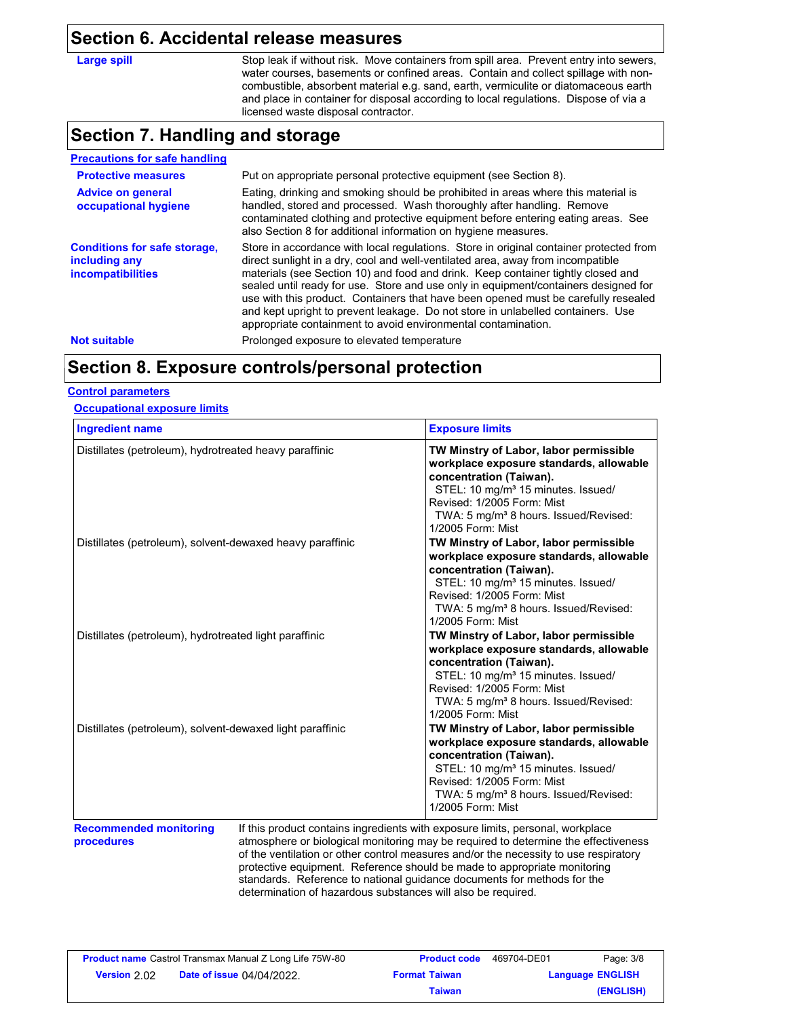### **Section 6. Accidental release measures**

| Large spill |
|-------------|
|-------------|

Stop leak if without risk. Move containers from spill area. Prevent entry into sewers, water courses, basements or confined areas. Contain and collect spillage with noncombustible, absorbent material e.g. sand, earth, vermiculite or diatomaceous earth and place in container for disposal according to local regulations. Dispose of via a licensed waste disposal contractor.

### **Section 7. Handling and storage**

| <b>Precautions for safe handling</b>                                             |                                                                                                                                                                                                                                                                                                                                                                                                                                                                                                                                                                                                |
|----------------------------------------------------------------------------------|------------------------------------------------------------------------------------------------------------------------------------------------------------------------------------------------------------------------------------------------------------------------------------------------------------------------------------------------------------------------------------------------------------------------------------------------------------------------------------------------------------------------------------------------------------------------------------------------|
| <b>Protective measures</b>                                                       | Put on appropriate personal protective equipment (see Section 8).                                                                                                                                                                                                                                                                                                                                                                                                                                                                                                                              |
| <b>Advice on general</b><br>occupational hygiene                                 | Eating, drinking and smoking should be prohibited in areas where this material is<br>handled, stored and processed. Wash thoroughly after handling. Remove<br>contaminated clothing and protective equipment before entering eating areas. See<br>also Section 8 for additional information on hygiene measures.                                                                                                                                                                                                                                                                               |
| <b>Conditions for safe storage,</b><br>including any<br><i>incompatibilities</i> | Store in accordance with local regulations. Store in original container protected from<br>direct sunlight in a dry, cool and well-ventilated area, away from incompatible<br>materials (see Section 10) and food and drink. Keep container tightly closed and<br>sealed until ready for use. Store and use only in equipment/containers designed for<br>use with this product. Containers that have been opened must be carefully resealed<br>and kept upright to prevent leakage. Do not store in unlabelled containers. Use<br>appropriate containment to avoid environmental contamination. |
| <b>Not suitable</b>                                                              | Prolonged exposure to elevated temperature                                                                                                                                                                                                                                                                                                                                                                                                                                                                                                                                                     |

### **Section 8. Exposure controls/personal protection**

#### **Control parameters**

#### **Occupational exposure limits**

| <b>Ingredient name</b>                                    | <b>Exposure limits</b>                                                                                                                                                                                                                                                 |
|-----------------------------------------------------------|------------------------------------------------------------------------------------------------------------------------------------------------------------------------------------------------------------------------------------------------------------------------|
| Distillates (petroleum), hydrotreated heavy paraffinic    | TW Minstry of Labor, labor permissible<br>workplace exposure standards, allowable<br>concentration (Taiwan).<br>STEL: 10 mg/m <sup>3</sup> 15 minutes. Issued/<br>Revised: 1/2005 Form: Mist<br>TWA: 5 mg/m <sup>3</sup> 8 hours. Issued/Revised:<br>1/2005 Form: Mist |
| Distillates (petroleum), solvent-dewaxed heavy paraffinic | TW Minstry of Labor, labor permissible<br>workplace exposure standards, allowable<br>concentration (Taiwan).<br>STEL: 10 mg/m <sup>3</sup> 15 minutes. Issued/<br>Revised: 1/2005 Form: Mist<br>TWA: 5 mg/m <sup>3</sup> 8 hours. Issued/Revised:<br>1/2005 Form: Mist |
| Distillates (petroleum), hydrotreated light paraffinic    | TW Minstry of Labor, labor permissible<br>workplace exposure standards, allowable<br>concentration (Taiwan).<br>STEL: 10 mg/m <sup>3</sup> 15 minutes. Issued/<br>Revised: 1/2005 Form: Mist<br>TWA: 5 mg/m <sup>3</sup> 8 hours. Issued/Revised:<br>1/2005 Form: Mist |
| Distillates (petroleum), solvent-dewaxed light paraffinic | TW Minstry of Labor, labor permissible<br>workplace exposure standards, allowable<br>concentration (Taiwan).<br>STEL: 10 mg/m <sup>3</sup> 15 minutes. Issued/<br>Revised: 1/2005 Form: Mist<br>TWA: 5 mg/m <sup>3</sup> 8 hours. Issued/Revised:<br>1/2005 Form: Mist |

# **procedures**

atmosphere or biological monitoring may be required to determine the effectiveness of the ventilation or other control measures and/or the necessity to use respiratory protective equipment. Reference should be made to appropriate monitoring standards. Reference to national guidance documents for methods for the determination of hazardous substances will also be required.

|              | <b>Product name</b> Castrol Transmax Manual Z Long Life 75W-80 | <b>Product code</b>  | 469704-DE01             | Page: 3/8 |
|--------------|----------------------------------------------------------------|----------------------|-------------------------|-----------|
| Version 2.02 | <b>Date of issue 04/04/2022.</b>                               | <b>Format Taiwan</b> | <b>Language ENGLISH</b> |           |
|              |                                                                | Taiwan               |                         | (ENGLISH) |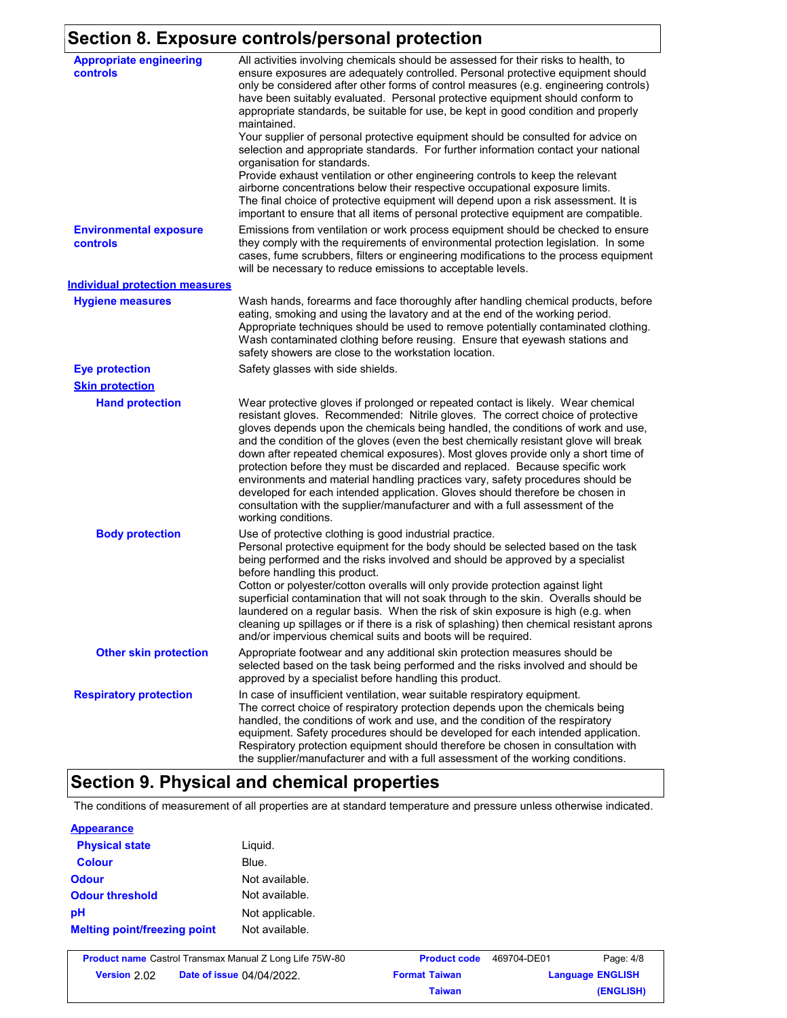# **Section 8. Exposure controls/personal protection**

| <b>Appropriate engineering</b><br>controls | All activities involving chemicals should be assessed for their risks to health, to<br>ensure exposures are adequately controlled. Personal protective equipment should<br>only be considered after other forms of control measures (e.g. engineering controls)<br>have been suitably evaluated. Personal protective equipment should conform to<br>appropriate standards, be suitable for use, be kept in good condition and properly<br>maintained.<br>Your supplier of personal protective equipment should be consulted for advice on<br>selection and appropriate standards. For further information contact your national<br>organisation for standards.<br>Provide exhaust ventilation or other engineering controls to keep the relevant<br>airborne concentrations below their respective occupational exposure limits.<br>The final choice of protective equipment will depend upon a risk assessment. It is<br>important to ensure that all items of personal protective equipment are compatible. |
|--------------------------------------------|---------------------------------------------------------------------------------------------------------------------------------------------------------------------------------------------------------------------------------------------------------------------------------------------------------------------------------------------------------------------------------------------------------------------------------------------------------------------------------------------------------------------------------------------------------------------------------------------------------------------------------------------------------------------------------------------------------------------------------------------------------------------------------------------------------------------------------------------------------------------------------------------------------------------------------------------------------------------------------------------------------------|
| <b>Environmental exposure</b><br>controls  | Emissions from ventilation or work process equipment should be checked to ensure<br>they comply with the requirements of environmental protection legislation. In some<br>cases, fume scrubbers, filters or engineering modifications to the process equipment<br>will be necessary to reduce emissions to acceptable levels.                                                                                                                                                                                                                                                                                                                                                                                                                                                                                                                                                                                                                                                                                 |
| <b>Individual protection measures</b>      |                                                                                                                                                                                                                                                                                                                                                                                                                                                                                                                                                                                                                                                                                                                                                                                                                                                                                                                                                                                                               |
| <b>Hygiene measures</b>                    | Wash hands, forearms and face thoroughly after handling chemical products, before<br>eating, smoking and using the lavatory and at the end of the working period.<br>Appropriate techniques should be used to remove potentially contaminated clothing.<br>Wash contaminated clothing before reusing. Ensure that eyewash stations and<br>safety showers are close to the workstation location.                                                                                                                                                                                                                                                                                                                                                                                                                                                                                                                                                                                                               |
| <b>Eye protection</b>                      | Safety glasses with side shields.                                                                                                                                                                                                                                                                                                                                                                                                                                                                                                                                                                                                                                                                                                                                                                                                                                                                                                                                                                             |
| <b>Skin protection</b>                     |                                                                                                                                                                                                                                                                                                                                                                                                                                                                                                                                                                                                                                                                                                                                                                                                                                                                                                                                                                                                               |
| <b>Hand protection</b>                     | Wear protective gloves if prolonged or repeated contact is likely. Wear chemical<br>resistant gloves. Recommended: Nitrile gloves. The correct choice of protective<br>gloves depends upon the chemicals being handled, the conditions of work and use,<br>and the condition of the gloves (even the best chemically resistant glove will break<br>down after repeated chemical exposures). Most gloves provide only a short time of<br>protection before they must be discarded and replaced. Because specific work<br>environments and material handling practices vary, safety procedures should be<br>developed for each intended application. Gloves should therefore be chosen in<br>consultation with the supplier/manufacturer and with a full assessment of the<br>working conditions.                                                                                                                                                                                                               |
| <b>Body protection</b>                     | Use of protective clothing is good industrial practice.<br>Personal protective equipment for the body should be selected based on the task<br>being performed and the risks involved and should be approved by a specialist<br>before handling this product.<br>Cotton or polyester/cotton overalls will only provide protection against light<br>superficial contamination that will not soak through to the skin. Overalls should be<br>laundered on a regular basis. When the risk of skin exposure is high (e.g. when<br>cleaning up spillages or if there is a risk of splashing) then chemical resistant aprons<br>and/or impervious chemical suits and boots will be required.                                                                                                                                                                                                                                                                                                                         |
| <b>Other skin protection</b>               | Appropriate footwear and any additional skin protection measures should be<br>selected based on the task being performed and the risks involved and should be<br>approved by a specialist before handling this product.                                                                                                                                                                                                                                                                                                                                                                                                                                                                                                                                                                                                                                                                                                                                                                                       |
| <b>Respiratory protection</b>              | In case of insufficient ventilation, wear suitable respiratory equipment.<br>The correct choice of respiratory protection depends upon the chemicals being<br>handled, the conditions of work and use, and the condition of the respiratory<br>equipment. Safety procedures should be developed for each intended application.<br>Respiratory protection equipment should therefore be chosen in consultation with<br>the supplier/manufacturer and with a full assessment of the working conditions.                                                                                                                                                                                                                                                                                                                                                                                                                                                                                                         |

# **Section 9. Physical and chemical properties**

The conditions of measurement of all properties are at standard temperature and pressure unless otherwise indicated.

#### **Appearance**

| <b>Physical state</b>               | Liguid.         |
|-------------------------------------|-----------------|
| <b>Colour</b>                       | Blue.           |
| <b>Odour</b>                        | Not available.  |
| <b>Odour threshold</b>              | Not available.  |
| pH                                  | Not applicable. |
| <b>Melting point/freezing point</b> | Not available.  |

| <b>Product name</b> Castrol Transmax Manual Z Long Life 75W-80 |                                  | <b>Product code</b>  | 469704-DE01             | Page: 4/8 |
|----------------------------------------------------------------|----------------------------------|----------------------|-------------------------|-----------|
| Version 2.02                                                   | <b>Date of issue 04/04/2022.</b> | <b>Format Taiwan</b> | <b>Language ENGLISH</b> |           |
|                                                                |                                  | Taiwan               |                         | (ENGLISH) |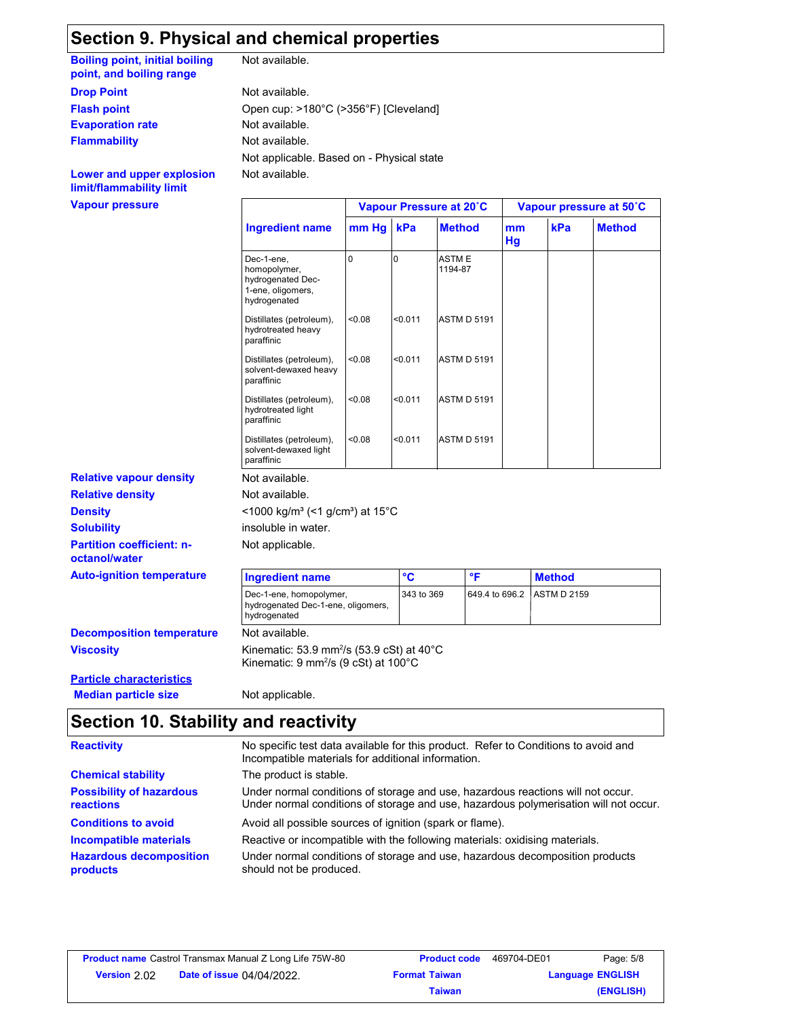### **Section 9. Physical and chemical properties**

**Boiling point, initial boiling point, and boiling range**

**Drop Point** Not available.

**Evaporation rate Not available.** 

**Flammability**

**Vapour pressure Lower and upper explosion limit/flammability limit**

Not available.

Not available. Not available. Not applicable. Based on - Physical state **Flash point** Open cup: >180°C (>356°F) [Cleveland]

Not available. Not applicable. insoluble in water.  $<$ 1000 kg/m<sup>3</sup> (<1 g/cm<sup>3</sup>) at 15 $^{\circ}$ C **Relative density Not available. Ingredient name Vapour Pressure at 20˚C Vapour pressure at 50˚C kPa Method mm kPa Hg Method** Dec-1-ene, homopolymer, hydrogenated Dec-1-ene, oligomers, hydrogenated 0 **ASTME** 1194-87 Distillates (petroleum), <0.08 hydrotreated heavy paraffinic <0.08 <0.011 ASTM D 5191 Distillates (petroleum), <0.08 solvent-dewaxed heavy paraffinic <0.08 <0.011 ASTM D 5191 Distillates (petroleum), <0.08 hydrotreated light paraffinic <0.08 <0.011 ASTM D 5191 Distillates (petroleum), <0.08 solvent-dewaxed light paraffinic <0.08 <0.011 ASTM D 5191 **Auto-ignition temperature Ingredient name °C °F Method** Dec-1-ene, homopolymer, hydrogenated Dec-1-ene, oligomers, hydrogenated 343 to 369 649.4 to 696.2 ASTM D 2159

**Viscosity Decomposition temperature** Not available.

Kinematic: 53.9 mm<sup>2</sup> /s (53.9 cSt) at 40°C Kinematic: 9 mm²/s (9 cSt) at 100°C

**Particle characteristics Median particle size** Not applicable.

**Partition coefficient: n-**

**Relative vapour density**

**Density Solubility**

**octanol/water**

### **Section 10. Stability and reactivity**

| <b>Reactivity</b>                            | No specific test data available for this product. Refer to Conditions to avoid and<br>Incompatible materials for additional information.                                |
|----------------------------------------------|-------------------------------------------------------------------------------------------------------------------------------------------------------------------------|
| <b>Chemical stability</b>                    | The product is stable.                                                                                                                                                  |
| <b>Possibility of hazardous</b><br>reactions | Under normal conditions of storage and use, hazardous reactions will not occur.<br>Under normal conditions of storage and use, hazardous polymerisation will not occur. |
| <b>Conditions to avoid</b>                   | Avoid all possible sources of ignition (spark or flame).                                                                                                                |
| Incompatible materials                       | Reactive or incompatible with the following materials: oxidising materials.                                                                                             |
| <b>Hazardous decomposition</b><br>products   | Under normal conditions of storage and use, hazardous decomposition products<br>should not be produced.                                                                 |

|              | <b>Product name</b> Castrol Transmax Manual Z Long Life 75W-80 | <b>Product code</b>  | 469704-DE01             | Page: 5/8 |
|--------------|----------------------------------------------------------------|----------------------|-------------------------|-----------|
| Version 2.02 | <b>Date of issue 04/04/2022.</b>                               | <b>Format Taiwan</b> | <b>Language ENGLISH</b> |           |
|              |                                                                | Taiwan               |                         | (ENGLISH) |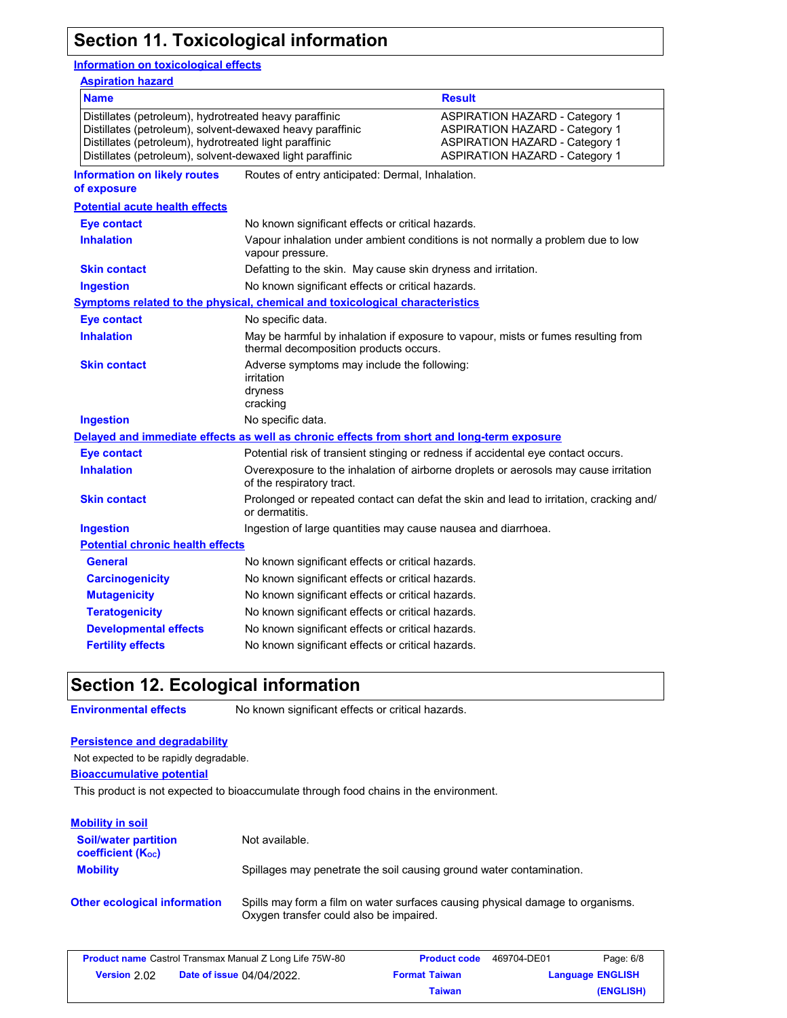# **Section 11. Toxicological information**

### **Information on toxicological effects**

| <b>Aspiration hazard</b>                                                                                                                                                                                                                   |                                                                                                                             |                                                                                                                                                                  |  |
|--------------------------------------------------------------------------------------------------------------------------------------------------------------------------------------------------------------------------------------------|-----------------------------------------------------------------------------------------------------------------------------|------------------------------------------------------------------------------------------------------------------------------------------------------------------|--|
| <b>Name</b>                                                                                                                                                                                                                                |                                                                                                                             | <b>Result</b>                                                                                                                                                    |  |
| Distillates (petroleum), hydrotreated heavy paraffinic<br>Distillates (petroleum), solvent-dewaxed heavy paraffinic<br>Distillates (petroleum), hydrotreated light paraffinic<br>Distillates (petroleum), solvent-dewaxed light paraffinic |                                                                                                                             | <b>ASPIRATION HAZARD - Category 1</b><br><b>ASPIRATION HAZARD - Category 1</b><br><b>ASPIRATION HAZARD - Category 1</b><br><b>ASPIRATION HAZARD - Category 1</b> |  |
| <b>Information on likely routes</b><br>of exposure                                                                                                                                                                                         | Routes of entry anticipated: Dermal, Inhalation.                                                                            |                                                                                                                                                                  |  |
| <b>Potential acute health effects</b>                                                                                                                                                                                                      |                                                                                                                             |                                                                                                                                                                  |  |
| <b>Eye contact</b>                                                                                                                                                                                                                         | No known significant effects or critical hazards.                                                                           |                                                                                                                                                                  |  |
| <b>Inhalation</b>                                                                                                                                                                                                                          | vapour pressure.                                                                                                            | Vapour inhalation under ambient conditions is not normally a problem due to low                                                                                  |  |
| <b>Skin contact</b>                                                                                                                                                                                                                        | Defatting to the skin. May cause skin dryness and irritation.                                                               |                                                                                                                                                                  |  |
| <b>Ingestion</b>                                                                                                                                                                                                                           | No known significant effects or critical hazards.                                                                           |                                                                                                                                                                  |  |
|                                                                                                                                                                                                                                            | <b>Symptoms related to the physical, chemical and toxicological characteristics</b>                                         |                                                                                                                                                                  |  |
| <b>Eye contact</b>                                                                                                                                                                                                                         | No specific data.                                                                                                           |                                                                                                                                                                  |  |
| <b>Inhalation</b>                                                                                                                                                                                                                          | May be harmful by inhalation if exposure to vapour, mists or fumes resulting from<br>thermal decomposition products occurs. |                                                                                                                                                                  |  |
| <b>Skin contact</b>                                                                                                                                                                                                                        | Adverse symptoms may include the following:<br>irritation<br>dryness<br>cracking                                            |                                                                                                                                                                  |  |
| <b>Ingestion</b>                                                                                                                                                                                                                           | No specific data.                                                                                                           |                                                                                                                                                                  |  |
|                                                                                                                                                                                                                                            | Delayed and immediate effects as well as chronic effects from short and long-term exposure                                  |                                                                                                                                                                  |  |
| <b>Eye contact</b>                                                                                                                                                                                                                         |                                                                                                                             | Potential risk of transient stinging or redness if accidental eye contact occurs.                                                                                |  |
| <b>Inhalation</b>                                                                                                                                                                                                                          | Overexposure to the inhalation of airborne droplets or aerosols may cause irritation<br>of the respiratory tract.           |                                                                                                                                                                  |  |
| <b>Skin contact</b>                                                                                                                                                                                                                        | Prolonged or repeated contact can defat the skin and lead to irritation, cracking and/<br>or dermatitis.                    |                                                                                                                                                                  |  |
| <b>Ingestion</b>                                                                                                                                                                                                                           | Ingestion of large quantities may cause nausea and diarrhoea.                                                               |                                                                                                                                                                  |  |
| <b>Potential chronic health effects</b>                                                                                                                                                                                                    |                                                                                                                             |                                                                                                                                                                  |  |
| <b>General</b>                                                                                                                                                                                                                             | No known significant effects or critical hazards.                                                                           |                                                                                                                                                                  |  |
| <b>Carcinogenicity</b>                                                                                                                                                                                                                     | No known significant effects or critical hazards.                                                                           |                                                                                                                                                                  |  |
| <b>Mutagenicity</b>                                                                                                                                                                                                                        | No known significant effects or critical hazards.                                                                           |                                                                                                                                                                  |  |
| <b>Teratogenicity</b>                                                                                                                                                                                                                      | No known significant effects or critical hazards.                                                                           |                                                                                                                                                                  |  |
| <b>Developmental effects</b>                                                                                                                                                                                                               | No known significant effects or critical hazards.                                                                           |                                                                                                                                                                  |  |
| <b>Fertility effects</b>                                                                                                                                                                                                                   | No known significant effects or critical hazards.                                                                           |                                                                                                                                                                  |  |

### **Section 12. Ecological information**

**Environmental effects** No known significant effects or critical hazards.

#### **Persistence and degradability**

Not expected to be rapidly degradable.

**Bioaccumulative potential**

This product is not expected to bioaccumulate through food chains in the environment.

| <b>Mobility in soil</b>                               |                                                                                                                           |
|-------------------------------------------------------|---------------------------------------------------------------------------------------------------------------------------|
| <b>Soil/water partition</b><br>coefficient $(K_{oc})$ | Not available.                                                                                                            |
| <b>Mobility</b>                                       | Spillages may penetrate the soil causing ground water contamination.                                                      |
| <b>Other ecological information</b>                   | Spills may form a film on water surfaces causing physical damage to organisms.<br>Oxygen transfer could also be impaired. |

|              | <b>Product name</b> Castrol Transmax Manual Z Long Life 75W-80 | <b>Product code</b>  | 469704-DE01             | Page: 6/8 |
|--------------|----------------------------------------------------------------|----------------------|-------------------------|-----------|
| Version 2.02 | <b>Date of issue 04/04/2022.</b>                               | <b>Format Taiwan</b> | <b>Language ENGLISH</b> |           |
|              |                                                                | Taiwan               |                         | (ENGLISH) |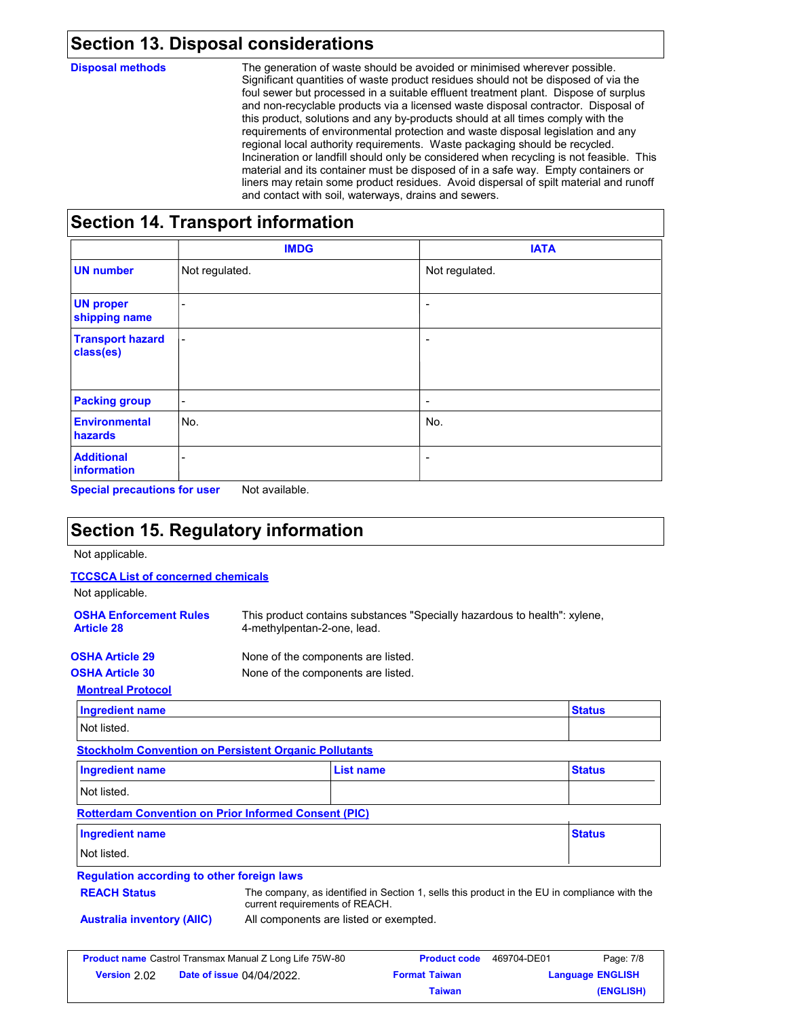### **Section 13. Disposal considerations**

**Disposal methods**

The generation of waste should be avoided or minimised wherever possible. Significant quantities of waste product residues should not be disposed of via the foul sewer but processed in a suitable effluent treatment plant. Dispose of surplus and non-recyclable products via a licensed waste disposal contractor. Disposal of this product, solutions and any by-products should at all times comply with the requirements of environmental protection and waste disposal legislation and any regional local authority requirements. Waste packaging should be recycled. Incineration or landfill should only be considered when recycling is not feasible. This material and its container must be disposed of in a safe way. Empty containers or liners may retain some product residues. Avoid dispersal of spilt material and runoff and contact with soil, waterways, drains and sewers.

### **Section 14. Transport information**

|                                      | <b>IMDG</b>              | <b>IATA</b>              |
|--------------------------------------|--------------------------|--------------------------|
| <b>UN number</b>                     | Not regulated.           | Not regulated.           |
| <b>UN proper</b><br>shipping name    | $\overline{\phantom{0}}$ | $\overline{\phantom{a}}$ |
| <b>Transport hazard</b><br>class(es) | $\overline{\phantom{a}}$ | $\overline{\phantom{a}}$ |
| <b>Packing group</b>                 | $\overline{\phantom{a}}$ | $\overline{\phantom{a}}$ |
| <b>Environmental</b><br>hazards      | No.                      | No.                      |
| <b>Additional</b><br>information     | ٠                        | ٠                        |

**Special precautions for user** Not available.

## **Section 15. Regulatory information**

Not applicable.

#### **TCCSCA List of concerned chemicals**

Not applicable.

| <b>OSHA Enforcement Rules</b><br><b>Article 28</b> | This product contains substances "Specially hazardous to health": xylene,<br>4-methylpentan-2-one, lead. |
|----------------------------------------------------|----------------------------------------------------------------------------------------------------------|
| <b>OSHA Article 29</b>                             | None of the components are listed.                                                                       |
| <b>OSHA Article 30</b>                             | None of the components are listed.                                                                       |
| <b>Montreal Protocol</b>                           |                                                                                                          |

| Ingredient name | $04 - 4 - 4$ |
|-----------------|--------------|
| Not listed.     |              |

**Stockholm Convention on Persistent Organic Pollutants**

| <b>Ingredient name</b> | <b>List name</b> | <b>Status</b> |
|------------------------|------------------|---------------|
| Not listed.            |                  |               |

### **Rotterdam Convention on Prior Informed Consent (PIC)**

| <b>Ingredient name</b> | <b>Status</b> |
|------------------------|---------------|
| Not listed.            |               |

#### **Regulation according to other foreign laws**

| The company, as identified in Section 1, sells this product in the EU in compliance with the |  |  |  |
|----------------------------------------------------------------------------------------------|--|--|--|
| current requirements of REACH.                                                               |  |  |  |

**REACH Status** 

**Australia inventory (AIIC)** All components are listed or exempted.

|                     | <b>Product name</b> Castrol Transmax Manual Z Long Life 75W-80 | <b>Product code</b>  | 469704-DE01             | Page: 7/8 |
|---------------------|----------------------------------------------------------------|----------------------|-------------------------|-----------|
| <b>Version</b> 2.02 | <b>Date of issue 04/04/2022.</b>                               | <b>Format Taiwan</b> | <b>Language ENGLISH</b> |           |
|                     |                                                                | Taiwan               |                         | (ENGLISH) |